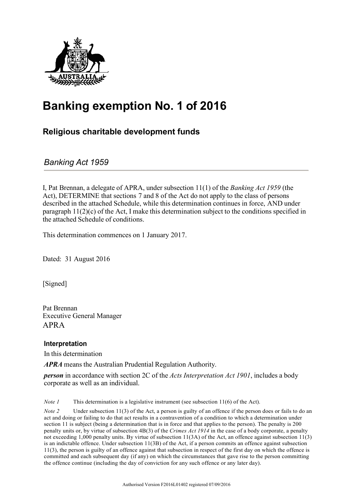

# **Banking exemption No. 1 of 2016**

### **Religious charitable development funds**

*Banking Act 1959*

I, Pat Brennan, a delegate of APRA, under subsection 11(1) of the *Banking Act 1959* (the Act), DETERMINE that sections 7 and 8 of the Act do not apply to the class of persons described in the attached Schedule, while this determination continues in force, AND under paragraph  $11(2)(c)$  of the Act, I make this determination subject to the conditions specified in the attached Schedule of conditions.

This determination commences on 1 January 2017.

Dated: 31 August 2016

[Signed]

Pat Brennan Executive General Manager APRA

### **Interpretation**

In this determination

*APRA* means the Australian Prudential Regulation Authority.

*person* in accordance with section 2C of the *Acts Interpretation Act 1901*, includes a body corporate as well as an individual.

*Note 1* This determination is a legislative instrument (see subsection 11(6) of the Act).

*Note* 2 Under subsection 11(3) of the Act, a person is guilty of an offence if the person does or fails to do an act and doing or failing to do that act results in a contravention of a condition to which a determination under section 11 is subject (being a determination that is in force and that applies to the person). The penalty is 200 penalty units or, by virtue of subsection 4B(3) of the *Crimes Act 1914* in the case of a body corporate, a penalty not exceeding 1,000 penalty units. By virtue of subsection 11(3A) of the Act, an offence against subsection 11(3) is an indictable offence. Under subsection 11(3B) of the Act, if a person commits an offence against subsection 11(3), the person is guilty of an offence against that subsection in respect of the first day on which the offence is committed and each subsequent day (if any) on which the circumstances that gave rise to the person committing the offence continue (including the day of conviction for any such offence or any later day).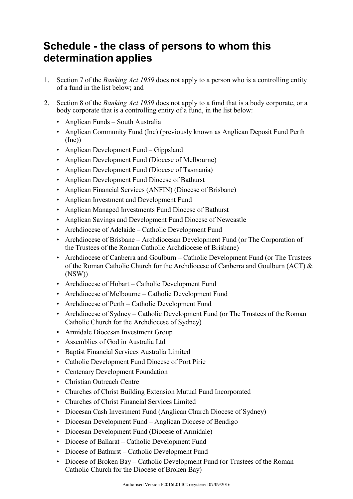### **Schedule - the class of persons to whom this determination applies**

- 1. Section 7 of the *Banking Act 1959* does not apply to a person who is a controlling entity of a fund in the list below; and
- 2. Section 8 of the *Banking Act 1959* does not apply to a fund that is a body corporate, or a body corporate that is a controlling entity of a fund, in the list below:
	- Anglican Funds South Australia
	- Anglican Community Fund (Inc) (previously known as Anglican Deposit Fund Perth  $(Inc))$
	- Anglican Development Fund Gippsland
	- Anglican Development Fund (Diocese of Melbourne)
	- Anglican Development Fund (Diocese of Tasmania)
	- Anglican Development Fund Diocese of Bathurst
	- Anglican Financial Services (ANFIN) (Diocese of Brisbane)
	- Anglican Investment and Development Fund
	- Anglican Managed Investments Fund Diocese of Bathurst
	- Anglican Savings and Development Fund Diocese of Newcastle
	- Archdiocese of Adelaide Catholic Development Fund
	- Archdiocese of Brisbane Archdiocesan Development Fund (or The Corporation of the Trustees of the Roman Catholic Archdiocese of Brisbane)
	- Archdiocese of Canberra and Goulburn Catholic Development Fund (or The Trustees of the Roman Catholic Church for the Archdiocese of Canberra and Goulburn (ACT) & (NSW))
	- Archdiocese of Hobart Catholic Development Fund
	- Archdiocese of Melbourne Catholic Development Fund
	- Archdiocese of Perth Catholic Development Fund
	- Archdiocese of Sydney Catholic Development Fund (or The Trustees of the Roman Catholic Church for the Archdiocese of Sydney)
	- Armidale Diocesan Investment Group
	- Assemblies of God in Australia Ltd
	- Baptist Financial Services Australia Limited
	- Catholic Development Fund Diocese of Port Pirie
	- Centenary Development Foundation
	- Christian Outreach Centre
	- Churches of Christ Building Extension Mutual Fund Incorporated
	- Churches of Christ Financial Services Limited
	- Diocesan Cash Investment Fund (Anglican Church Diocese of Sydney)
	- Diocesan Development Fund Anglican Diocese of Bendigo
	- Diocesan Development Fund (Diocese of Armidale)
	- Diocese of Ballarat Catholic Development Fund
	- Diocese of Bathurst Catholic Development Fund
	- Diocese of Broken Bay Catholic Development Fund (or Trustees of the Roman Catholic Church for the Diocese of Broken Bay)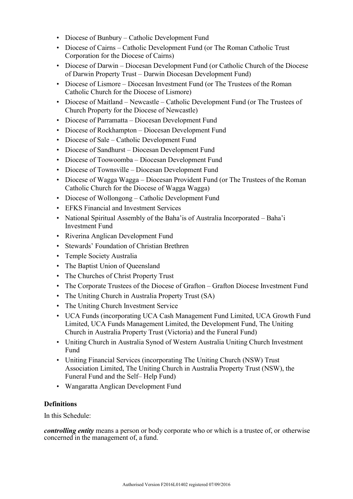- Diocese of Bunbury Catholic Development Fund
- Diocese of Cairns Catholic Development Fund (or The Roman Catholic Trust Corporation for the Diocese of Cairns)
- Diocese of Darwin Diocesan Development Fund (or Catholic Church of the Diocese of Darwin Property Trust – Darwin Diocesan Development Fund)
- Diocese of Lismore Diocesan Investment Fund (or The Trustees of the Roman Catholic Church for the Diocese of Lismore)
- Diocese of Maitland Newcastle Catholic Development Fund (or The Trustees of Church Property for the Diocese of Newcastle)
- Diocese of Parramatta Diocesan Development Fund
- Diocese of Rockhampton Diocesan Development Fund
- Diocese of Sale Catholic Development Fund
- Diocese of Sandhurst Diocesan Development Fund
- Diocese of Toowoomba Diocesan Development Fund
- Diocese of Townsville Diocesan Development Fund
- Diocese of Wagga Wagga Diocesan Provident Fund (or The Trustees of the Roman Catholic Church for the Diocese of Wagga Wagga)
- Diocese of Wollongong Catholic Development Fund
- EFKS Financial and Investment Services
- National Spiritual Assembly of the Baha'is of Australia Incorporated Baha'i Investment Fund
- Riverina Anglican Development Fund
- Stewards' Foundation of Christian Brethren
- Temple Society Australia
- The Baptist Union of Queensland
- The Churches of Christ Property Trust
- The Corporate Trustees of the Diocese of Grafton Grafton Diocese Investment Fund
- The Uniting Church in Australia Property Trust (SA)
- The Uniting Church Investment Service
- UCA Funds (incorporating UCA Cash Management Fund Limited, UCA Growth Fund Limited, UCA Funds Management Limited, the Development Fund, The Uniting Church in Australia Property Trust (Victoria) and the Funeral Fund)
- Uniting Church in Australia Synod of Western Australia Uniting Church Investment Fund
- Uniting Financial Services (incorporating The Uniting Church (NSW) Trust Association Limited, The Uniting Church in Australia Property Trust (NSW), the Funeral Fund and the Self– Help Fund)
- Wangaratta Anglican Development Fund

#### **Definitions**

In this Schedule:

*controlling entity* means a person or body corporate who or which is a trustee of, or otherwise concerned in the management of, a fund.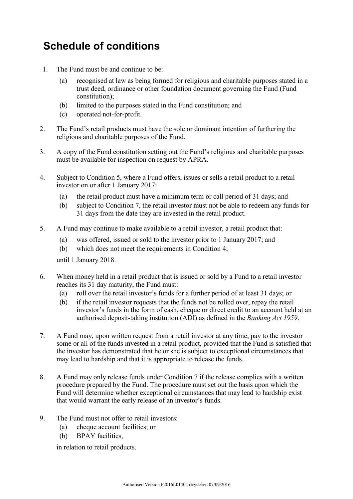## **Schedule of conditions**

- 1. The Fund must be and continue to be:
	- (a) recognised at law as being formed for religious and charitable purposes stated in a trust deed, ordinance or other foundation document governing the Fund (Fund constitution);
	- (b) limited to the purposes stated in the Fund constitution; and
	- (c) operated not-for-profit.
- 2. The Fund's retail products must have the sole or dominant intention of furthering the religious and charitable purposes of the Fund.
- 3. A copy of the Fund constitution setting out the Fund's religious and charitable purposes must be available for inspection on request by APRA.
- 4. Subject to Condition 5, where a Fund offers, issues or sells a retail product to a retail investor on or after 1 January 2017:
	- (a) the retail product must have a minimum term or call period of 31 days; and
	- (b) subject to Condition 7, the retail investor must not be able to redeem any funds for 31 days from the date they are invested in the retail product.
- 5. A Fund may continue to make available to a retail investor, a retail product that:
	- (a) was offered, issued or sold to the investor prior to 1 January 2017; and
	- (b) which does not meet the requirements in Condition 4;

until 1 January 2018.

- 6. When money held in a retail product that is issued or sold by a Fund to a retail investor reaches its 31 day maturity, the Fund must:
	- (a) roll over the retail investor's funds for a further period of at least 31 days; or
	- (b) if the retail investor requests that the funds not be rolled over, repay the retail investor's funds in the form of cash, cheque or direct credit to an account held at an authorised deposit-taking institution (ADI) as defined in the *Banking Act 1959*.
- 7. A Fund may, upon written request from a retail investor at any time, pay to the investor some or all of the funds invested in a retail product, provided that the Fund is satisfied that the investor has demonstrated that he or she is subject to exceptional circumstances that may lead to hardship and that it is appropriate to release the funds.
- 8. A Fund may only release funds under Condition 7 if the release complies with a written procedure prepared by the Fund. The procedure must set out the basis upon which the Fund will determine whether exceptional circumstances that may lead to hardship exist that would warrant the early release of an investor's funds.
- 9. The Fund must not offer to retail investors:
	- (a) cheque account facilities; or
	- (b) BPAY facilities,

in relation to retail products.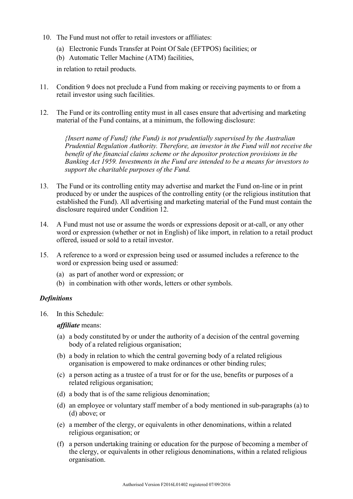- 10. The Fund must not offer to retail investors or affiliates:
	- (a) Electronic Funds Transfer at Point Of Sale (EFTPOS) facilities; or
	- (b) Automatic Teller Machine (ATM) facilities,

in relation to retail products.

- 11. Condition 9 does not preclude a Fund from making or receiving payments to or from a retail investor using such facilities.
- 12. The Fund or its controlling entity must in all cases ensure that advertising and marketing material of the Fund contains, at a minimum, the following disclosure:

*{Insert name of Fund} (the Fund) is not prudentially supervised by the Australian Prudential Regulation Authority. Therefore, an investor in the Fund will not receive the benefit of the financial claims scheme or the depositor protection provisions in the Banking Act 1959. Investments in the Fund are intended to be a means for investors to support the charitable purposes of the Fund.*

- 13. The Fund or its controlling entity may advertise and market the Fund on-line or in print produced by or under the auspices of the controlling entity (or the religious institution that established the Fund). All advertising and marketing material of the Fund must contain the disclosure required under Condition 12.
- 14. A Fund must not use or assume the words or expressions deposit or at-call, or any other word or expression (whether or not in English) of like import, in relation to a retail product offered, issued or sold to a retail investor.
- 15. A reference to a word or expression being used or assumed includes a reference to the word or expression being used or assumed:
	- (a) as part of another word or expression; or
	- (b) in combination with other words, letters or other symbols.

#### *Definitions*

16. In this Schedule:

*affiliate* means:

- (a) a body constituted by or under the authority of a decision of the central governing body of a related religious organisation;
- (b) a body in relation to which the central governing body of a related religious organisation is empowered to make ordinances or other binding rules;
- (c) a person acting as a trustee of a trust for or for the use, benefits or purposes of a related religious organisation;
- (d) a body that is of the same religious denomination;
- (d) an employee or voluntary staff member of a body mentioned in sub-paragraphs (a) to (d) above; or
- (e) a member of the clergy, or equivalents in other denominations, within a related religious organisation; or
- (f) a person undertaking training or education for the purpose of becoming a member of the clergy, or equivalents in other religious denominations, within a related religious organisation.